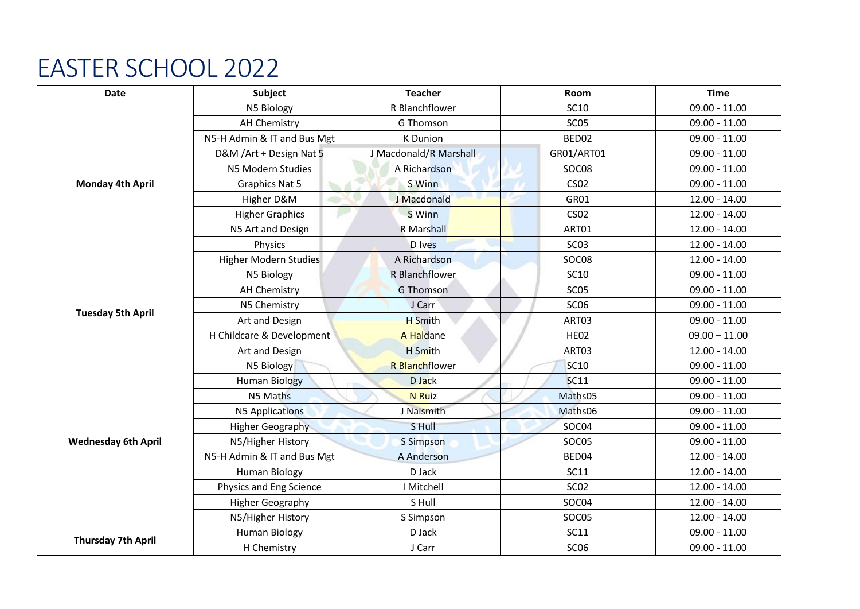## EASTER SCHOOL 2022

| Date                       | Subject                      | <b>Teacher</b>         | Room             | <b>Time</b>     |
|----------------------------|------------------------------|------------------------|------------------|-----------------|
| <b>Monday 4th April</b>    | N5 Biology                   | R Blanchflower         | <b>SC10</b>      | $09.00 - 11.00$ |
|                            | <b>AH Chemistry</b>          | <b>G</b> Thomson       | SC <sub>05</sub> | $09.00 - 11.00$ |
|                            | N5-H Admin & IT and Bus Mgt  | <b>K</b> Dunion        | BED02            | $09.00 - 11.00$ |
|                            | D&M /Art + Design Nat 5      | J Macdonald/R Marshall | GR01/ART01       | $09.00 - 11.00$ |
|                            | N5 Modern Studies            | A Richardson           | SOC08            | $09.00 - 11.00$ |
|                            | <b>Graphics Nat 5</b>        | S Winn                 | <b>CS02</b>      | $09.00 - 11.00$ |
|                            | Higher D&M                   | J Macdonald            | GR01             | $12.00 - 14.00$ |
|                            | <b>Higher Graphics</b>       | S Winn                 | <b>CS02</b>      | $12.00 - 14.00$ |
|                            | N5 Art and Design            | R Marshall             | ART01            | $12.00 - 14.00$ |
|                            | Physics                      | D Ives                 | SC <sub>03</sub> | $12.00 - 14.00$ |
|                            | <b>Higher Modern Studies</b> | A Richardson           | SOC08            | $12.00 - 14.00$ |
| <b>Tuesday 5th April</b>   | N5 Biology                   | R Blanchflower         | <b>SC10</b>      | $09.00 - 11.00$ |
|                            | <b>AH Chemistry</b>          | <b>G Thomson</b>       | <b>SC05</b>      | $09.00 - 11.00$ |
|                            | N5 Chemistry                 | J Carr                 | SC <sub>06</sub> | $09.00 - 11.00$ |
|                            | Art and Design               | <b>H</b> Smith         | ART03            | $09.00 - 11.00$ |
|                            | H Childcare & Development    | A Haldane              | <b>HE02</b>      | $09.00 - 11.00$ |
|                            | Art and Design               | H Smith                | ART03            | $12.00 - 14.00$ |
| <b>Wednesday 6th April</b> | N5 Biology                   | <b>R</b> Blanchflower  | <b>SC10</b>      | $09.00 - 11.00$ |
|                            | <b>Human Biology</b>         | D Jack                 | <b>SC11</b>      | $09.00 - 11.00$ |
|                            | N5 Maths                     | <b>N</b> Ruiz          | Maths05          | $09.00 - 11.00$ |
|                            | <b>N5 Applications</b>       | J Naismith             | Maths06          | $09.00 - 11.00$ |
|                            | <b>Higher Geography</b>      | S Hull                 | SOC04            | $09.00 - 11.00$ |
|                            | N5/Higher History            | <b>S</b> Simpson       | SOC05            | $09.00 - 11.00$ |
|                            | N5-H Admin & IT and Bus Mgt  | A Anderson             | BED04            | $12.00 - 14.00$ |
|                            | <b>Human Biology</b>         | D Jack                 | <b>SC11</b>      | 12.00 - 14.00   |
|                            | Physics and Eng Science      | I Mitchell             | <b>SC02</b>      | $12.00 - 14.00$ |
|                            | <b>Higher Geography</b>      | S Hull                 | SOC04            | $12.00 - 14.00$ |
|                            | N5/Higher History            | S Simpson              | SOC05            | $12.00 - 14.00$ |
| <b>Thursday 7th April</b>  | <b>Human Biology</b>         | D Jack                 | <b>SC11</b>      | $09.00 - 11.00$ |
|                            | H Chemistry                  | J Carr                 | SC <sub>06</sub> | $09.00 - 11.00$ |